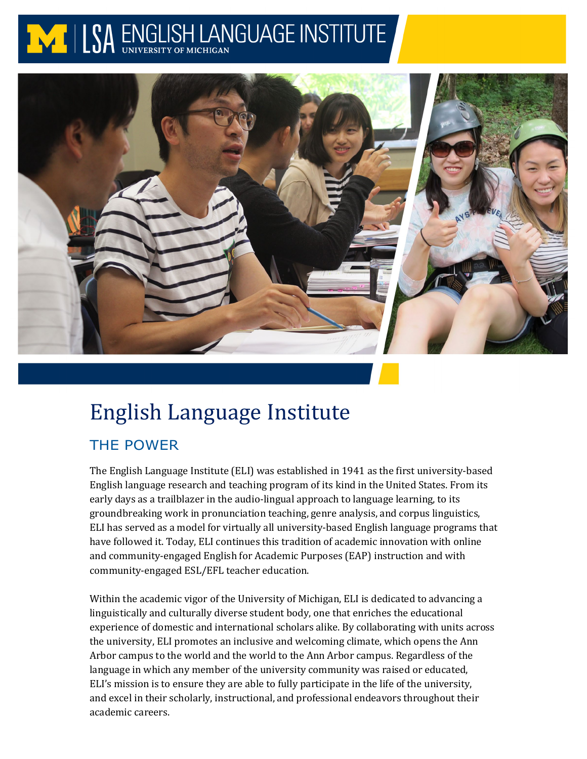# NI LSA ENGLISH LANGUAGE INSTITUTE



# English Language Institute

# THE POWER

The English Language Institute (ELI) was established in 1941 as the first university-based English language research and teaching program of its kind in the United States. From its early days as a trailblazer in the audio-lingual approach to language learning, to its groundbreaking work in pronunciation teaching, genre analysis, and corpus linguistics, ELI has served as a model for virtually all university-based English language programs that have followed it. Today, ELI continues this tradition of academic innovation with online and community-engaged English for Academic Purposes (EAP) instruction and with community-engaged ESL/EFL teacher education.

Within the academic vigor of the University of Michigan, ELI is dedicated to advancing a linguistically and culturally diverse student body, one that enriches the educational experience of domestic and international scholars alike. By collaborating with units across the university, ELI promotes an inclusive and welcoming climate, which opens the Ann Arbor campus to the world and the world to the Ann Arbor campus. Regardless of the language in which any member of the university community was raised or educated, ELI's mission is to ensure they are able to fully participate in the life of the university, and excel in their scholarly, instructional, and professional endeavors throughout their academic careers.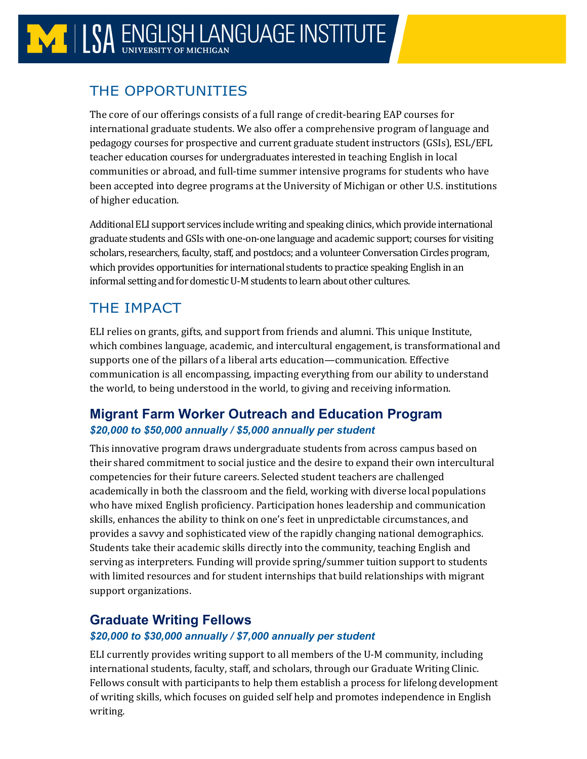# THE OPPORTUNITIES

The core of our offerings consists of a full range of credit-bearing EAP courses for international graduate students. We also offer a comprehensive program of language and pedagogy courses for prospective and current graduate student instructors (GSIs), ESL/EFL teacher education courses for undergraduates interested in teaching English in local communities or abroad, and full-time summer intensive programs for students who have been accepted into degree programs at the University of Michigan or other U.S. institutions of higher education.

Additional ELI support services include writing and speaking clinics, which provide international graduate students and GSIs with one-on-one language and academic support; courses for visiting scholars, researchers, faculty, staff, and postdocs; and a volunteer Conversation Circles program, which provides opportunities for international students to practice speaking English in an informal setting and for domestic U-M students to learn about other cultures.

# THE IMPACT

ELI relies on grants, gifts, and support from friends and alumni. This unique Institute, which combines language, academic, and intercultural engagement, is transformational and supports one of the pillars of a liberal arts education—communication. Effective communication is all encompassing, impacting everything from our ability to understand the world, to being understood in the world, to giving and receiving information.

## **Migrant Farm Worker Outreach and Education Program** *\$20,000 to \$50,000 annually / \$5,000 annually per student*

This innovative program draws undergraduate students from across campus based on their shared commitment to social justice and the desire to expand their own intercultural competencies for their future careers. Selected student teachers are challenged academically in both the classroom and the field, working with diverse local populations who have mixed English proficiency. Participation hones leadership and communication skills, enhances the ability to think on one's feet in unpredictable circumstances, and provides a savvy and sophisticated view of the rapidly changing national demographics. Students take their academic skills directly into the community, teaching English and serving as interpreters. Funding will provide spring/summer tuition support to students with limited resources and for student internships that build relationships with migrant support organizations.

# **Graduate Writing Fellows**

### *\$20,000 to \$30,000 annually / \$7,000 annually per student*

ELI currently provides writing support to all members of the U-M community, including international students, faculty, staff, and scholars, through our Graduate Writing Clinic. Fellows consult with participants to help them establish a process for lifelong development of writing skills, which focuses on guided self help and promotes independence in English writing.